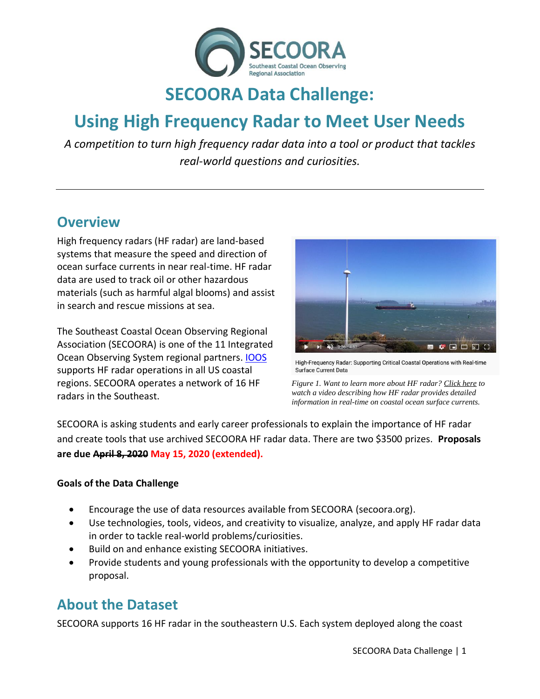

# **SECOORA Data Challenge:**

# **Using High Frequency Radar to Meet User Needs**

*A competition to turn high frequency radar data into a tool or product that tackles real-world questions and curiosities.*

### **Overview**

High frequency radars (HF radar) are land-based systems that measure the speed and direction of ocean surface currents in near real-time. HF radar data are used to track oil or other hazardous materials (such as harmful algal blooms) and assist in search and rescue missions at sea.

The Southeast Coastal Ocean Observing Regional Association (SECOORA) is one of the 11 Integrated Ocean Observing System regional partners. [IOOS](https://ioos.noaa.gov/project/hf-radar/) supports HF radar operations in all US coastal regions. SECOORA operates a network of 16 HF radars in the Southeast.



High-Frequency Radar: Supporting Critical Coastal Operations with Real-time Surface Current Data

*Figure 1. Want to learn more about HF radar? Click here to watch a video describing how HF radar provides detailed information in real-time on coastal ocean surface currents.*

SECOORA is asking students and early career professionals to explain the importance of HF radar and create tools that use archived SECOORA HF radar data. There are two \$3500 prizes. **Proposals are due April 8, 2020 May 15, 2020 (extended).**

#### **Goals of the Data Challenge**

- Encourage the use of data resources available from SECOORA (secoora.org).
- Use technologies, tools, videos, and creativity to visualize, analyze, and apply HF radar data in order to tackle real-world problems/curiosities.
- Build on and enhance existing SECOORA initiatives.
- Provide students and young professionals with the opportunity to develop a competitive proposal.

### **About the Dataset**

SECOORA supports 16 HF radar in the southeastern U.S. Each system deployed along the coast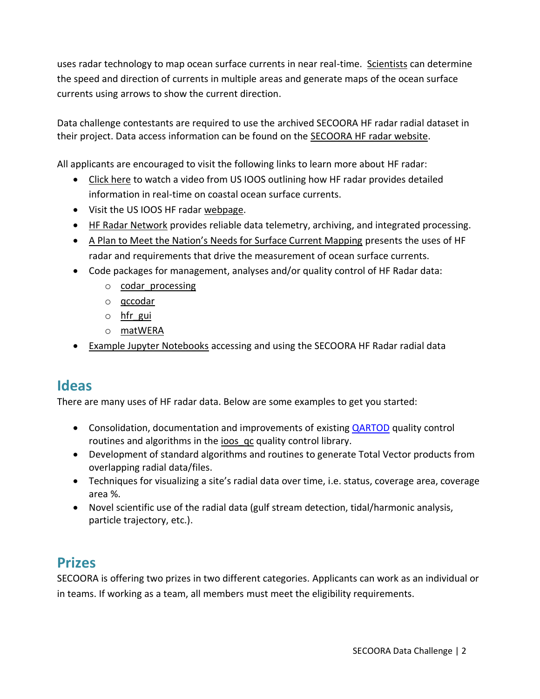uses radar technology to map ocean surface currents in near real-time. [Scientists](https://maracoos.org/hfradar.shtml) can determine the speed and direction of currents in multiple areas and generate maps of the ocean surface currents using arrows to show the current direction.

Data challenge contestants are required to use the archived SECOORA HF radar radial dataset in their project. Data access information can be found on the [SECOORA HF radar website.](https://secoora.org/hfradar/#data)

All applicants are encouraged to visit the following links to learn more about HF radar:

- [Click here](https://youtu.be/Ii83ob2cwhE) to watch a video from US IOOS outlining how HF radar provides detailed information in real-time on coastal ocean surface currents.
- Visit the US IOOS HF radar [webpage.](https://ioos.noaa.gov/project/hf-radar/)
- HF [Radar Network](https://cordc.ucsd.edu/projects/mapping/) provides reliable data telemetry, archiving, and integrated processing.
- [A Plan to Meet the Nation's Needs for Surface Current Mapping](http://secoora.org/wp-content/uploads/2018/03/national_surface_current_plan_updated_2015.pdf) presents the uses of HF radar and requirements that drive the measurement of ocean surface currents.
- Code packages for management, analyses and/or quality control of HF Radar data:
	- o [codar\\_processing](https://github.com/rucool/codar_processing)
	- o [qccodar](https://github.com/nccoos/qccodar)
	- $\circ$  hfr gui
	- o [matWERA](https://github.com/gvoulgaris0/matWERA)
- [Example Jupyter Notebooks](https://github.com/SECOORA/data_challenge_2020) accessing and using the SECOORA HF Radar radial data

## **Ideas**

There are many uses of HF radar data. Below are some examples to get you started:

- Consolidation, documentation and improvements of existing [QARTOD](https://ioos.noaa.gov/project/qartod/) quality control routines and algorithms in the ioos qc quality control library.
- Development of standard algorithms and routines to generate Total Vector products from overlapping radial data/files.
- Techniques for visualizing a site's radial data over time, i.e. status, coverage area, coverage area %.
- Novel scientific use of the radial data (gulf stream detection, tidal/harmonic analysis, particle trajectory, etc.).

## **Prizes**

SECOORA is offering two prizes in two different categories. Applicants can work as an individual or in teams. If working as a team, all members must meet the eligibility requirements.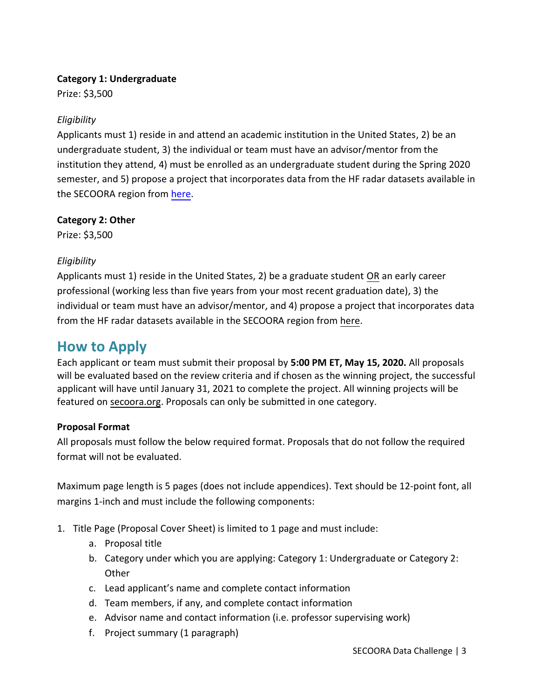#### **Category 1: Undergraduate**

Prize: \$3,500

#### *Eligibility*

Applicants must 1) reside in and attend an academic institution in the United States, 2) be an undergraduate student, 3) the individual or team must have an advisor/mentor from the institution they attend, 4) must be enrolled as an undergraduate student during the Spring 2020 semester, and 5) propose a project that incorporates data from the HF radar datasets available in the SECOORA region from [here.](https://secoora.org/hfradar/#data)

**Category 2: Other** 

Prize: \$3,500

#### *Eligibility*

Applicants must 1) reside in the United States, 2) be a graduate student OR an early career professional (working less than five years from your most recent graduation date), 3) the individual or team must have an advisor/mentor, and 4) propose a project that incorporates data from the HF radar datasets available in the SECOORA region from [here.](https://secoora.org/hfradar/#data)

### **How to Apply**

Each applicant or team must submit their proposal by **5:00 PM ET, May 15, 2020.** All proposals will be evaluated based on the review criteria and if chosen as the winning project, the successful applicant will have until January 31, 2021 to complete the project. All winning projects will be featured on [secoora.org.](http://secoora.org/) Proposals can only be submitted in one category.

#### **Proposal Format**

All proposals must follow the below required format. Proposals that do not follow the required format will not be evaluated.

Maximum page length is 5 pages (does not include appendices). Text should be 12-point font, all margins 1-inch and must include the following components:

- 1. Title Page (Proposal Cover Sheet) is limited to 1 page and must include:
	- a. Proposal title
	- b. Category under which you are applying: Category 1: Undergraduate or Category 2: **Other**
	- c. Lead applicant's name and complete contact information
	- d. Team members, if any, and complete contact information
	- e. Advisor name and contact information (i.e. professor supervising work)
	- f. Project summary (1 paragraph)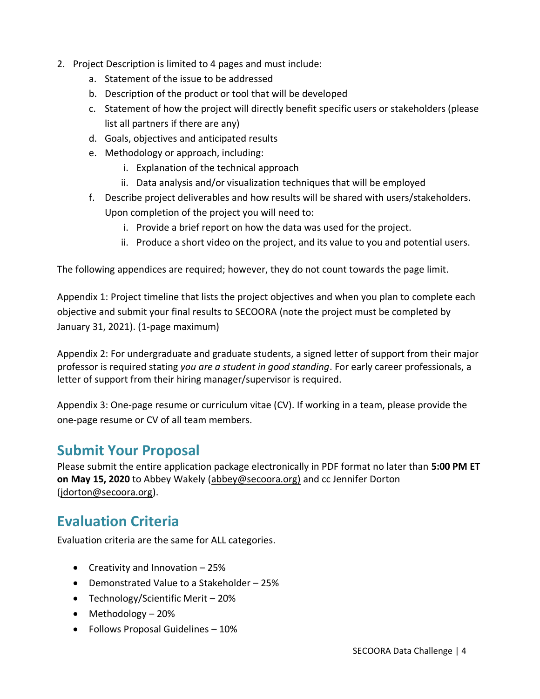- 2. Project Description is limited to 4 pages and must include:
	- a. Statement of the issue to be addressed
	- b. Description of the product or tool that will be developed
	- c. Statement of how the project will directly benefit specific users or stakeholders (please list all partners if there are any)
	- d. Goals, objectives and anticipated results
	- e. Methodology or approach, including:
		- i. Explanation of the technical approach
		- ii. Data analysis and/or visualization techniques that will be employed
	- f. Describe project deliverables and how results will be shared with users/stakeholders. Upon completion of the project you will need to:
		- i. Provide a brief report on how the data was used for the project.
		- ii. Produce a short video on the project, and its value to you and potential users.

The following appendices are required; however, they do not count towards the page limit.

Appendix 1: Project timeline that lists the project objectives and when you plan to complete each objective and submit your final results to SECOORA (note the project must be completed by January 31, 2021). (1-page maximum)

Appendix 2: For undergraduate and graduate students, a signed letter of support from their major professor is required stating *you are a student in good standing*. For early career professionals, a letter of support from their hiring manager/supervisor is required.

Appendix 3: One-page resume or curriculum vitae (CV). If working in a team, please provide the one-page resume or CV of all team members.

### **Submit Your Proposal**

Please submit the entire application package electronically in PDF format no later than **5:00 PM ET on May 15, 2020** to Abbey Wakely [\(abbey@secoora.org\)](mailto:abbey@secoora.org)) and cc Jennifer Dorton [\(jdorton@secoora.org\)](mailto:jdorton@secoora.org).

## **Evaluation Criteria**

Evaluation criteria are the same for ALL categories.

- Creativity and Innovation 25%
- Demonstrated Value to a Stakeholder 25%
- Technology/Scientific Merit 20%
- Methodology 20%
- Follows Proposal Guidelines 10%